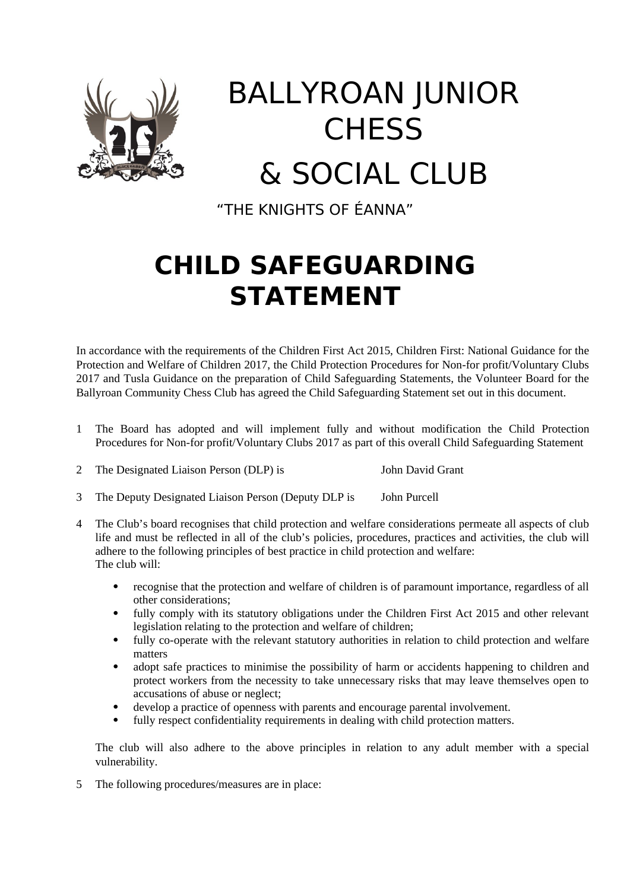

# BALLYROAN JUNIOR **CHESS** & SOCIAL CLUB

"THE KNIGHTS OF ÉANNA"

### **CHILD SAFEGUARDING STATEMENT**

In accordance with the requirements of the Children First Act 2015, Children First: National Guidance for the Protection and Welfare of Children 2017, the Child Protection Procedures for Non-for profit/Voluntary Clubs 2017 and Tusla Guidance on the preparation of Child Safeguarding Statements, the Volunteer Board for the Ballyroan Community Chess Club has agreed the Child Safeguarding Statement set out in this document.

- 1 The Board has adopted and will implement fully and without modification the Child Protection Procedures for Non-for profit/Voluntary Clubs 2017 as part of this overall Child Safeguarding Statement
- 2 The Designated Liaison Person (DLP) is John David Grant
- 3 The Deputy Designated Liaison Person (Deputy DLP is John Purcell
- 4 The Club's board recognises that child protection and welfare considerations permeate all aspects of club life and must be reflected in all of the club's policies, procedures, practices and activities, the club will adhere to the following principles of best practice in child protection and welfare: The club will:
	- recognise that the protection and welfare of children is of paramount importance, regardless of all other considerations;
	- fully comply with its statutory obligations under the Children First Act 2015 and other relevant legislation relating to the protection and welfare of children;
	- fully co-operate with the relevant statutory authorities in relation to child protection and welfare matters
	- adopt safe practices to minimise the possibility of harm or accidents happening to children and protect workers from the necessity to take unnecessary risks that may leave themselves open to accusations of abuse or neglect;
	- develop a practice of openness with parents and encourage parental involvement.
	- fully respect confidentiality requirements in dealing with child protection matters.

The club will also adhere to the above principles in relation to any adult member with a special vulnerability.

5 The following procedures/measures are in place: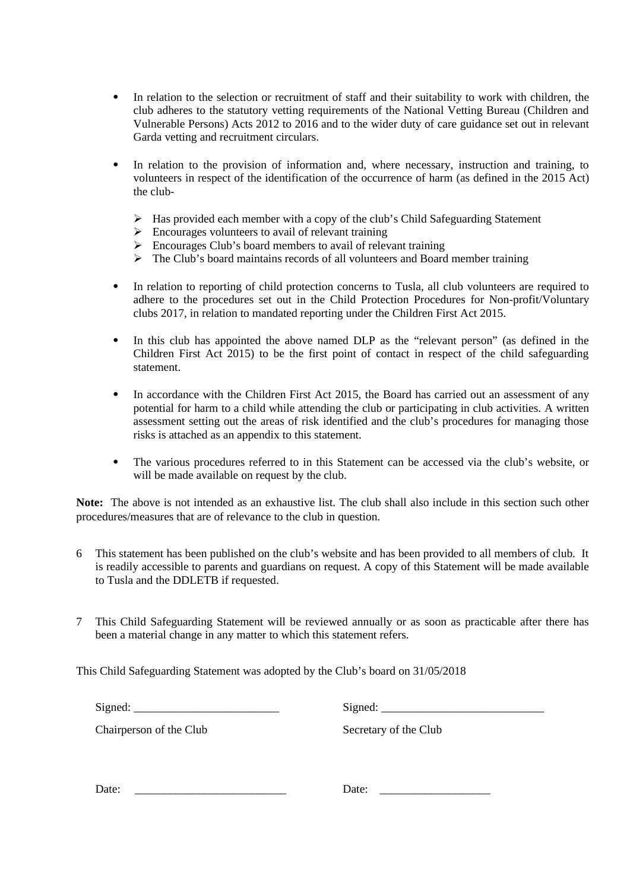- In relation to the selection or recruitment of staff and their suitability to work with children, the club adheres to the statutory vetting requirements of the National Vetting Bureau (Children and Vulnerable Persons) Acts 2012 to 2016 and to the wider duty of care guidance set out in relevant Garda vetting and recruitment circulars.
- In relation to the provision of information and, where necessary, instruction and training, to volunteers in respect of the identification of the occurrence of harm (as defined in the 2015 Act) the club-
	- $\triangleright$  Has provided each member with a copy of the club's Child Safeguarding Statement
	- $\triangleright$  Encourages volunteers to avail of relevant training
	- $\triangleright$  Encourages Club's board members to avail of relevant training
	- $\triangleright$  The Club's board maintains records of all volunteers and Board member training
- In relation to reporting of child protection concerns to Tusla, all club volunteers are required to adhere to the procedures set out in the Child Protection Procedures for Non-profit/Voluntary clubs 2017, in relation to mandated reporting under the Children First Act 2015.
- In this club has appointed the above named DLP as the "relevant person" (as defined in the Children First Act 2015) to be the first point of contact in respect of the child safeguarding statement.
- In accordance with the Children First Act 2015, the Board has carried out an assessment of any potential for harm to a child while attending the club or participating in club activities. A written assessment setting out the areas of risk identified and the club's procedures for managing those risks is attached as an appendix to this statement.
- The various procedures referred to in this Statement can be accessed via the club's website, or will be made available on request by the club.

**Note:** The above is not intended as an exhaustive list. The club shall also include in this section such other procedures/measures that are of relevance to the club in question.

- 6 This statement has been published on the club's website and has been provided to all members of club. It is readily accessible to parents and guardians on request. A copy of this Statement will be made available to Tusla and the DDLETB if requested.
- 7 This Child Safeguarding Statement will be reviewed annually or as soon as practicable after there has been a material change in any matter to which this statement refers.

This Child Safeguarding Statement was adopted by the Club's board on 31/05/2018

 $Signed:$ 

Chairperson of the Club Secretary of the Club

Date: \_\_\_\_\_\_\_\_\_\_\_\_\_\_\_\_\_\_\_\_\_\_\_\_\_\_ Date: \_\_\_\_\_\_\_\_\_\_\_\_\_\_\_\_\_\_\_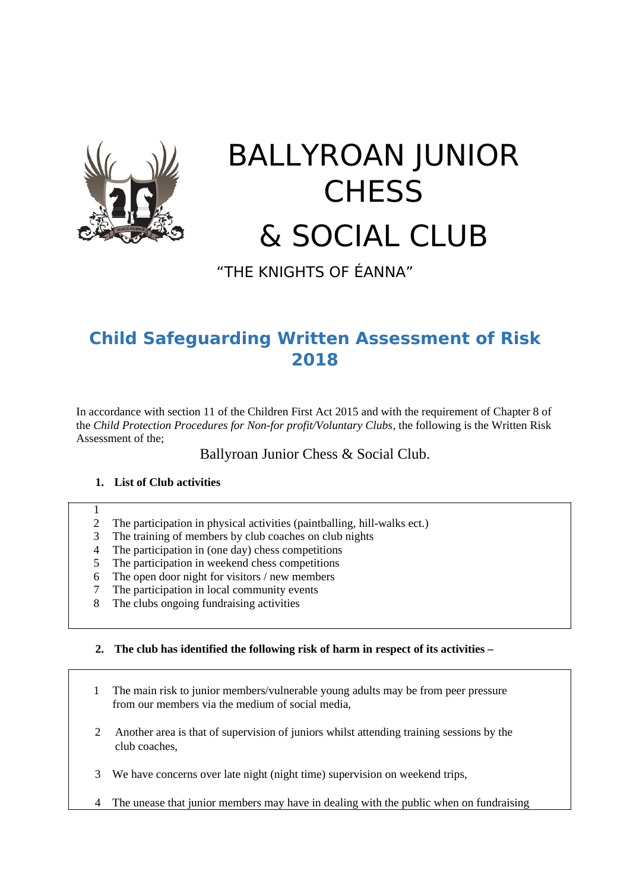

## BALLYROAN JUNIOR **CHESS** & SOCIAL CLUB

"THE KNIGHTS OF ÉANNA"

### **Child Safeguarding Written Assessment of Risk 2018**

In accordance with section 11 of the Children First Act 2015 and with the requirement of Chapter 8 of the *Child Protection Procedures for Non-for profit/Voluntary Clubs*, the following is the Written Risk Assessment of the;

Ballyroan Junior Chess & Social Club.

#### **1. List of Club activities**

1

- 2 The participation in physical activities (paintballing, hill-walks ect.)
- 3 The training of members by club coaches on club nights
- 4 The participation in (one day) chess competitions
- 5 The participation in weekend chess competitions
- 6 The open door night for visitors / new members
- 7 The participation in local community events
- 8 The clubs ongoing fundraising activities

#### **2. The club has identified the following risk of harm in respect of its activities –**

- 1 The main risk to junior members/vulnerable young adults may be from peer pressure from our members via the medium of social media,
- 2 Another area is that of supervision of juniors whilst attending training sessions by the club coaches,
- 3 We have concerns over late night (night time) supervision on weekend trips,
- 4 The unease that junior members may have in dealing with the public when on fundraising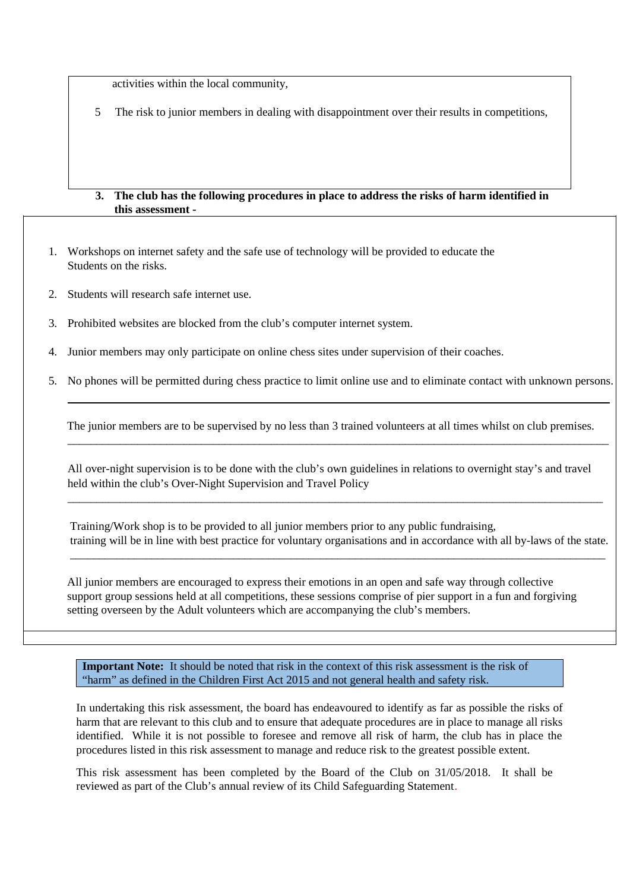activities within the local community,

5 The risk to junior members in dealing with disappointment over their results in competitions,

#### **3. The club has the following procedures in place to address the risks of harm identified in this assessment -**

- 1. Workshops on internet safety and the safe use of technology will be provided to educate the Students on the risks.
- 2. Students will research safe internet use.
- 3. Prohibited websites are blocked from the club's computer internet system.
- 4. Junior members may only participate on online chess sites under supervision of their coaches.
- 5. No phones will be permitted during chess practice to limit online use and to eliminate contact with unknown persons.

 The junior members are to be supervised by no less than 3 trained volunteers at all times whilst on club premises. \_\_\_\_\_\_\_\_\_\_\_\_\_\_\_\_\_\_\_\_\_\_\_\_\_\_\_\_\_\_\_\_\_\_\_\_\_\_\_\_\_\_\_\_\_\_\_\_\_\_\_\_\_\_\_\_\_\_\_\_\_\_\_\_\_\_\_\_\_\_\_\_\_\_\_\_\_\_\_\_\_\_\_\_\_\_\_\_\_\_\_\_\_

All over-night supervision is to be done with the club's own guidelines in relations to overnight stay's and travel held within the club's Over-Night Supervision and Travel Policy

\_\_\_\_\_\_\_\_\_\_\_\_\_\_\_\_\_\_\_\_\_\_\_\_\_\_\_\_\_\_\_\_\_\_\_\_\_\_\_\_\_\_\_\_\_\_\_\_\_\_\_\_\_\_\_\_\_\_\_\_\_\_\_\_\_\_\_\_\_\_\_\_\_\_\_\_\_\_\_\_\_\_\_\_\_\_\_\_\_\_\_\_

 Training/Work shop is to be provided to all junior members prior to any public fundraising, training will be in line with best practice for voluntary organisations and in accordance with all by-laws of the state.

 All junior members are encouraged to express their emotions in an open and safe way through collective support group sessions held at all competitions, these sessions comprise of pier support in a fun and forgiving setting overseen by the Adult volunteers which are accompanying the club's members.

\_\_\_\_\_\_\_\_\_\_\_\_\_\_\_\_\_\_\_\_\_\_\_\_\_\_\_\_\_\_\_\_\_\_\_\_\_\_\_\_\_\_\_\_\_\_\_\_\_\_\_\_\_\_\_\_\_\_\_\_\_\_\_\_\_\_\_\_\_\_\_\_\_\_\_\_\_\_\_\_\_\_\_\_\_\_\_\_\_\_\_\_

**Important Note:** It should be noted that risk in the context of this risk assessment is the risk of "harm" as defined in the Children First Act 2015 and not general health and safety risk.

In undertaking this risk assessment, the board has endeavoured to identify as far as possible the risks of harm that are relevant to this club and to ensure that adequate procedures are in place to manage all risks identified. While it is not possible to foresee and remove all risk of harm, the club has in place the procedures listed in this risk assessment to manage and reduce risk to the greatest possible extent.

This risk assessment has been completed by the Board of the Club on 31/05/2018. It shall be reviewed as part of the Club's annual review of its Child Safeguarding Statement.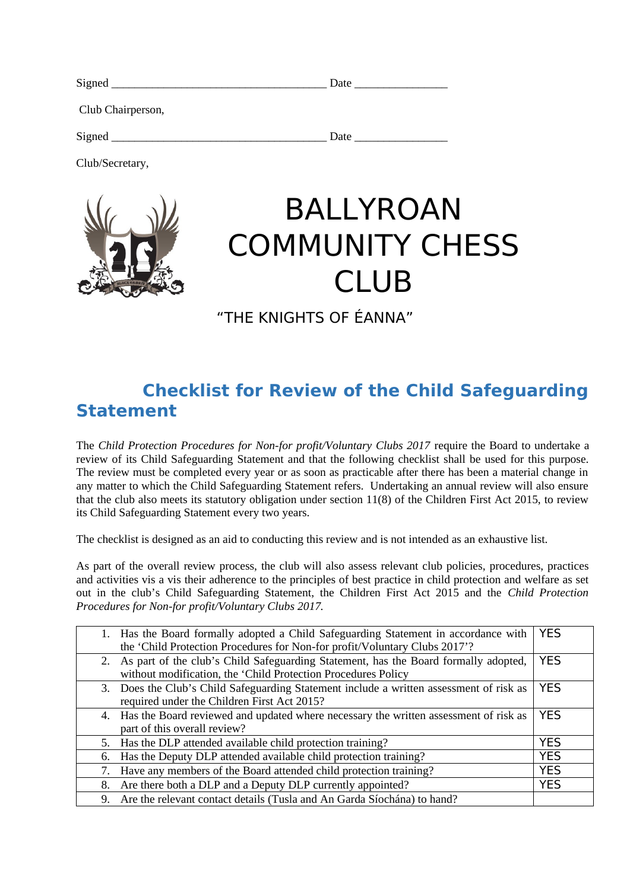| Signed            | Date |  |
|-------------------|------|--|
| Club Chairperson, |      |  |
| Signed            | Date |  |

Club/Secretary,



## BALLYROAN COMMUNITY CHESS CLUB

"THE KNIGHTS OF ÉANNA"

### **Checklist for Review of the Child Safeguarding Statement**

The *Child Protection Procedures for Non-for profit/Voluntary Clubs 2017* require the Board to undertake a review of its Child Safeguarding Statement and that the following checklist shall be used for this purpose. The review must be completed every year or as soon as practicable after there has been a material change in any matter to which the Child Safeguarding Statement refers. Undertaking an annual review will also ensure that the club also meets its statutory obligation under section 11(8) of the Children First Act 2015, to review its Child Safeguarding Statement every two years.

The checklist is designed as an aid to conducting this review and is not intended as an exhaustive list.

As part of the overall review process, the club will also assess relevant club policies, procedures, practices and activities vis a vis their adherence to the principles of best practice in child protection and welfare as set out in the club's Child Safeguarding Statement, the Children First Act 2015 and the *Child Protection Procedures for Non-for profit/Voluntary Clubs 2017.*

|    | 1. Has the Board formally adopted a Child Safeguarding Statement in accordance with     | <b>YES</b> |
|----|-----------------------------------------------------------------------------------------|------------|
|    | the 'Child Protection Procedures for Non-for profit/Voluntary Clubs 2017'?              |            |
|    | 2. As part of the club's Child Safeguarding Statement, has the Board formally adopted,  | <b>YES</b> |
|    | without modification, the 'Child Protection Procedures Policy                           |            |
| 3. | Does the Club's Child Safeguarding Statement include a written assessment of risk as    | <b>YES</b> |
|    | required under the Children First Act 2015?                                             |            |
|    | 4. Has the Board reviewed and updated where necessary the written assessment of risk as | <b>YES</b> |
|    | part of this overall review?                                                            |            |
| 5. | Has the DLP attended available child protection training?                               | <b>YES</b> |
| 6. | Has the Deputy DLP attended available child protection training?                        | <b>YES</b> |
| 7. | Have any members of the Board attended child protection training?                       | <b>YES</b> |
| 8. | Are there both a DLP and a Deputy DLP currently appointed?                              | <b>YES</b> |
| 9. | Are the relevant contact details (Tusla and An Garda Síochána) to hand?                 |            |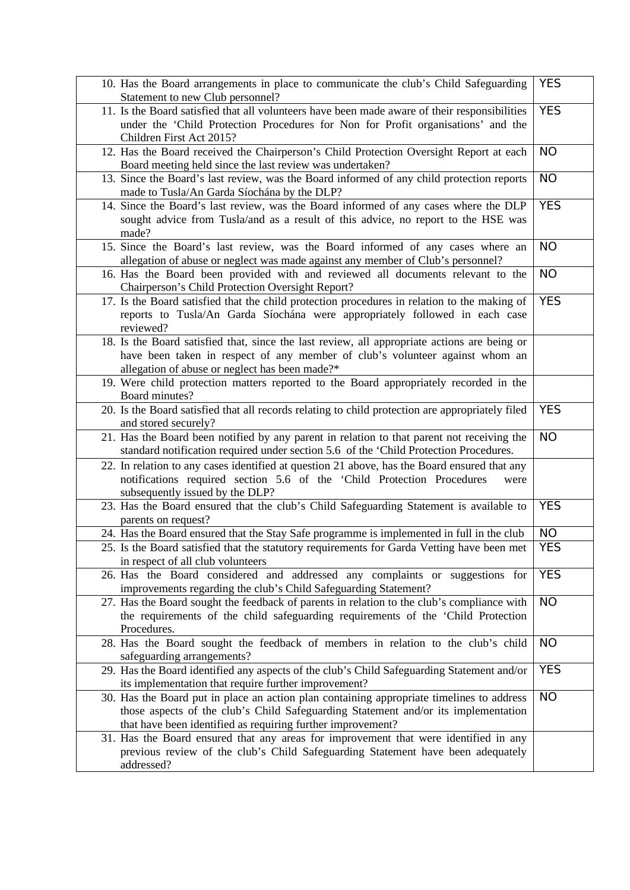| 10. Has the Board arrangements in place to communicate the club's Child Safeguarding<br>Statement to new Club personnel?                                                                                                                       | <b>YES</b> |
|------------------------------------------------------------------------------------------------------------------------------------------------------------------------------------------------------------------------------------------------|------------|
| 11. Is the Board satisfied that all volunteers have been made aware of their responsibilities<br>under the 'Child Protection Procedures for Non for Profit organisations' and the<br>Children First Act 2015?                                  | <b>YES</b> |
| 12. Has the Board received the Chairperson's Child Protection Oversight Report at each<br>Board meeting held since the last review was undertaken?                                                                                             | <b>NO</b>  |
| 13. Since the Board's last review, was the Board informed of any child protection reports<br>made to Tusla/An Garda Síochána by the DLP?                                                                                                       | <b>NO</b>  |
| 14. Since the Board's last review, was the Board informed of any cases where the DLP<br>sought advice from Tusla/and as a result of this advice, no report to the HSE was<br>made?                                                             | <b>YES</b> |
| 15. Since the Board's last review, was the Board informed of any cases where an<br>allegation of abuse or neglect was made against any member of Club's personnel?                                                                             | <b>NO</b>  |
| 16. Has the Board been provided with and reviewed all documents relevant to the<br>Chairperson's Child Protection Oversight Report?                                                                                                            | <b>NO</b>  |
| 17. Is the Board satisfied that the child protection procedures in relation to the making of<br>reports to Tusla/An Garda Síochána were appropriately followed in each case<br>reviewed?                                                       | <b>YES</b> |
| 18. Is the Board satisfied that, since the last review, all appropriate actions are being or<br>have been taken in respect of any member of club's volunteer against whom an<br>allegation of abuse or neglect has been made?*                 |            |
| 19. Were child protection matters reported to the Board appropriately recorded in the<br>Board minutes?                                                                                                                                        |            |
| 20. Is the Board satisfied that all records relating to child protection are appropriately filed<br>and stored securely?                                                                                                                       | <b>YES</b> |
| 21. Has the Board been notified by any parent in relation to that parent not receiving the<br>standard notification required under section 5.6 of the 'Child Protection Procedures.                                                            | <b>NO</b>  |
| 22. In relation to any cases identified at question 21 above, has the Board ensured that any<br>notifications required section 5.6 of the 'Child Protection Procedures<br>were<br>subsequently issued by the DLP?                              |            |
| 23. Has the Board ensured that the club's Child Safeguarding Statement is available to<br>parents on request?                                                                                                                                  | <b>YES</b> |
| 24. Has the Board ensured that the Stay Safe programme is implemented in full in the club                                                                                                                                                      | <b>NO</b>  |
| 25. Is the Board satisfied that the statutory requirements for Garda Vetting have been met<br>in respect of all club volunteers                                                                                                                | <b>YES</b> |
| 26. Has the Board considered and addressed any complaints or suggestions for<br>improvements regarding the club's Child Safeguarding Statement?                                                                                                | <b>YES</b> |
| 27. Has the Board sought the feedback of parents in relation to the club's compliance with<br>the requirements of the child safeguarding requirements of the 'Child Protection<br>Procedures.                                                  | <b>NO</b>  |
| 28. Has the Board sought the feedback of members in relation to the club's child<br>safeguarding arrangements?                                                                                                                                 | <b>NO</b>  |
| 29. Has the Board identified any aspects of the club's Child Safeguarding Statement and/or<br>its implementation that require further improvement?                                                                                             | <b>YES</b> |
| 30. Has the Board put in place an action plan containing appropriate timelines to address<br>those aspects of the club's Child Safeguarding Statement and/or its implementation<br>that have been identified as requiring further improvement? | <b>NO</b>  |
| 31. Has the Board ensured that any areas for improvement that were identified in any<br>previous review of the club's Child Safeguarding Statement have been adequately<br>addressed?                                                          |            |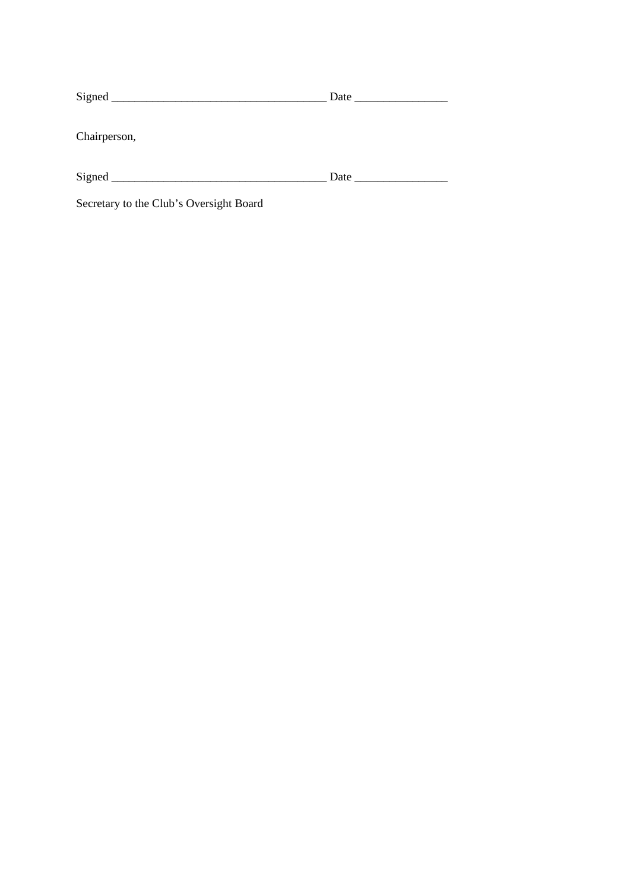|                                         | Date and the same state of the state of the state of the state of the state of the state of the state of the state of the state of the state of the state of the state of the state of the state of the state of the state of |
|-----------------------------------------|-------------------------------------------------------------------------------------------------------------------------------------------------------------------------------------------------------------------------------|
| Chairperson,                            |                                                                                                                                                                                                                               |
|                                         | <b>Date</b> and <b>Date</b>                                                                                                                                                                                                   |
| Secretary to the Club's Oversight Board |                                                                                                                                                                                                                               |